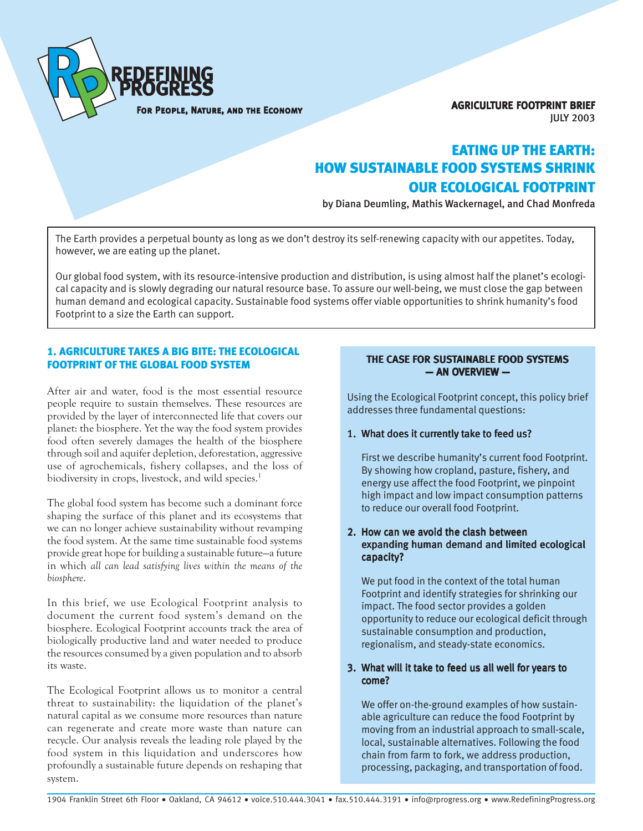

AGRICULTURE FOOTPRINT BRIEF JULY 2003

# EATING UP THE EARTH: HOW SUSTAINABLE FOOD SYSTEMS SHRINK OUR ECOLOGICAL FOOTPRINT

by Diana Deumling, Mathis Wackernagel, and Chad Monfreda

The Earth provides a perpetual bounty as long as we don't destroy its self-renewing capacity with our appetites. Today, however, we are eating up the planet.

Our global food system, with its resource-intensive production and distribution, is using almost half the planet's ecological capacity and is slowly degrading our natural resource base. To assure our well-being, we must close the gap between human demand and ecological capacity. Sustainable food systems offer viable opportunities to shrink humanity's food Footprint to a size the Earth can support.

## 1. AGRICULTURE TAKES A BIG BITE: THE ECOLOGICAL FOOTPRINT OF THE GLOBAL FOOD SYSTEM

After air and water, food is the most essential resource people require to sustain themselves. These resources are provided by the layer of interconnected life that covers our planet: the biosphere. Yet the way the food system provides food often severely damages the health of the biosphere through soil and aquifer depletion, deforestation, aggressive use of agrochemicals, fishery collapses, and the loss of biodiversity in crops, livestock, and wild species.<sup>1</sup>

The global food system has become such a dominant force shaping the surface of this planet and its ecosystems that we can no longer achieve sustainability without revamping the food system. At the same time sustainable food systems provide great hope for building a sustainable future—a future in which *all can lead satisfying lives within the means of the biosphere*.

In this brief, we use Ecological Footprint analysis to document the current food system's demand on the biosphere. Ecological Footprint accounts track the area of biologically productive land and water needed to produce the resources consumed by a given population and to absorb its waste.

The Ecological Footprint allows us to monitor a central threat to sustainability: the liquidation of the planet's natural capital as we consume more resources than nature can regenerate and create more waste than nature can recycle. Our analysis reveals the leading role played by the food system in this liquidation and underscores how profoundly a sustainable future depends on reshaping that system.

## THE CASE FOR SUSTAINABLE FOOD SYSTEMS — AN OVERVIEW —

Using the Ecological Footprint concept, this policy brief addresses three fundamental questions:

## 1. What does it currently take to feed us?

First we describe humanity's current food Footprint. By showing how cropland, pasture, fishery, and energy use affect the food Footprint, we pinpoint high impact and low impact consumption patterns to reduce our overall food Footprint.

## 2. How can we avoid the clash between expanding human demand and limited ecological capacity?

We put food in the context of the total human Footprint and identify strategies for shrinking our impact. The food sector provides a golden opportunity to reduce our ecological deficit through sustainable consumption and production, regionalism, and steady-state economics.

## 3. What will it take to feed us all well for years to come?

We offer on-the-ground examples of how sustainable agriculture can reduce the food Footprint by moving from an industrial approach to small-scale, local, sustainable alternatives. Following the food chain from farm to fork, we address production, processing, packaging, and transportation of food.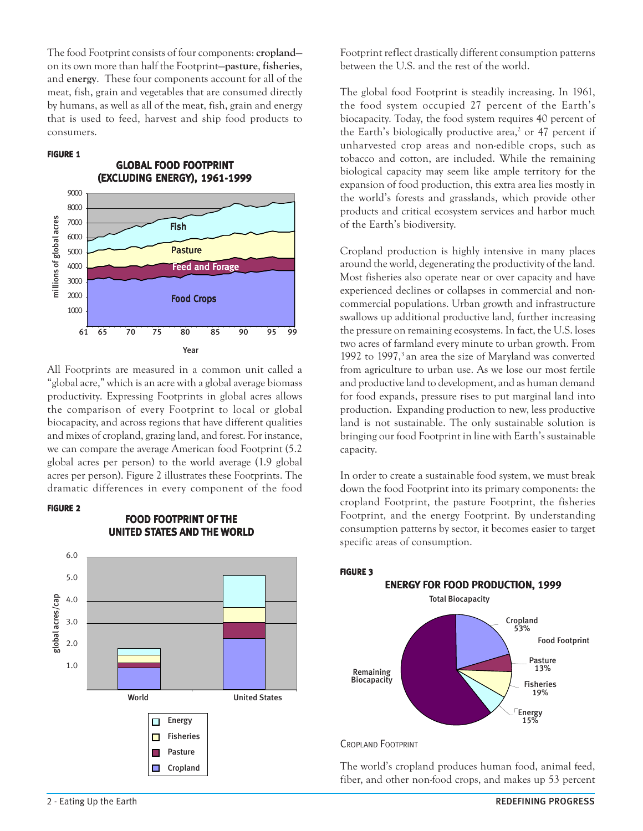The food Footprint consists of four components: **cropland** on its own more than half the Footprint—**pasture**, **fisheries**, and **energy**. These four components account for all of the meat, fish, grain and vegetables that are consumed directly by humans, as well as all of the meat, fish, grain and energy that is used to feed, harvest and ship food products to consumers.

#### FIGURE 1



All Footprints are measured in a common unit called a "global acre," which is an acre with a global average biomass productivity. Expressing Footprints in global acres allows the comparison of every Footprint to local or global biocapacity, and across regions that have different qualities and mixes of cropland, grazing land, and forest. For instance, we can compare the average American food Footprint (5.2 global acres per person) to the world average (1.9 global acres per person). Figure 2 illustrates these Footprints. The dramatic differences in every component of the food

#### FIGURE 2



 FOOD FOOTPRINT OF THE UNITED STATES AND THE WORLD Footprint reflect drastically different consumption patterns between the U.S. and the rest of the world.

The global food Footprint is steadily increasing. In 1961, the food system occupied 27 percent of the Earth's biocapacity. Today, the food system requires 40 percent of the Earth's biologically productive area,<sup>2</sup> or 47 percent if unharvested crop areas and non-edible crops, such as tobacco and cotton, are included. While the remaining biological capacity may seem like ample territory for the expansion of food production, this extra area lies mostly in the world's forests and grasslands, which provide other products and critical ecosystem services and harbor much of the Earth's biodiversity.

Cropland production is highly intensive in many places around the world, degenerating the productivity of the land. Most fisheries also operate near or over capacity and have experienced declines or collapses in commercial and noncommercial populations. Urban growth and infrastructure swallows up additional productive land, further increasing the pressure on remaining ecosystems. In fact, the U.S. loses two acres of farmland every minute to urban growth. From 1992 to 1997,<sup>3</sup> an area the size of Maryland was converted from agriculture to urban use. As we lose our most fertile and productive land to development, and as human demand for food expands, pressure rises to put marginal land into production. Expanding production to new, less productive land is not sustainable. The only sustainable solution is bringing our food Footprint in line with Earth's sustainable capacity.

In order to create a sustainable food system, we must break down the food Footprint into its primary components: the cropland Footprint, the pasture Footprint, the fisheries Footprint, and the energy Footprint. By understanding consumption patterns by sector, it becomes easier to target specific areas of consumption.



#### CROPLAND FOOTPRINT

The world's cropland produces human food, animal feed, fiber, and other non-food crops, and makes up 53 percent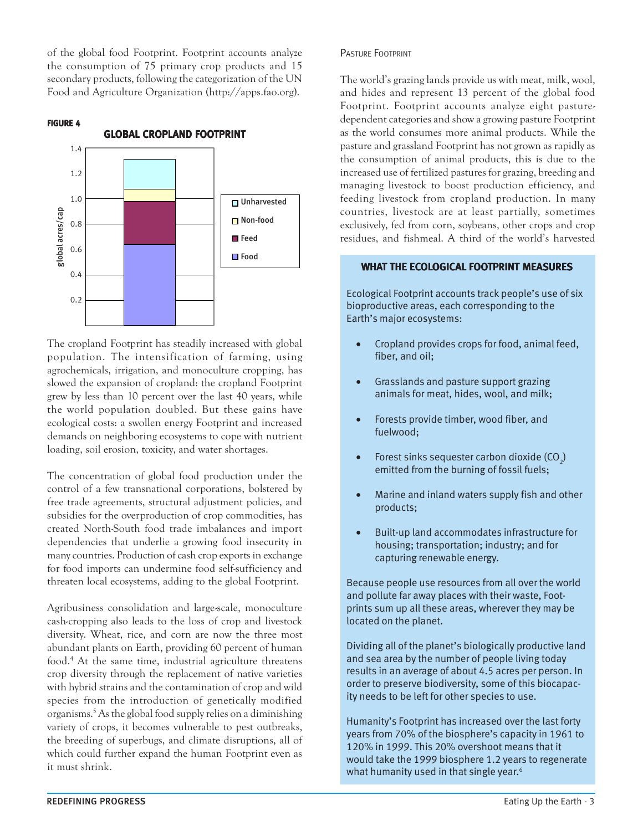of the global food Footprint. Footprint accounts analyze the consumption of 75 primary crop products and 15 secondary products, following the categorization of the UN Food and Agriculture Organization (http://apps.fao.org).

#### FIGURE 4



The cropland Footprint has steadily increased with global population. The intensification of farming, using agrochemicals, irrigation, and monoculture cropping, has slowed the expansion of cropland: the cropland Footprint grew by less than 10 percent over the last 40 years, while the world population doubled. But these gains have ecological costs: a swollen energy Footprint and increased demands on neighboring ecosystems to cope with nutrient loading, soil erosion, toxicity, and water shortages.

The concentration of global food production under the control of a few transnational corporations, bolstered by free trade agreements, structural adjustment policies, and subsidies for the overproduction of crop commodities, has created North-South food trade imbalances and import dependencies that underlie a growing food insecurity in many countries. Production of cash crop exports in exchange for food imports can undermine food self-sufficiency and threaten local ecosystems, adding to the global Footprint.

Agribusiness consolidation and large-scale, monoculture cash-cropping also leads to the loss of crop and livestock diversity. Wheat, rice, and corn are now the three most abundant plants on Earth, providing 60 percent of human food.4 At the same time, industrial agriculture threatens crop diversity through the replacement of native varieties with hybrid strains and the contamination of crop and wild species from the introduction of genetically modified organisms.5 As the global food supply relies on a diminishing variety of crops, it becomes vulnerable to pest outbreaks, the breeding of superbugs, and climate disruptions, all of which could further expand the human Footprint even as it must shrink.

### PASTURE FOOTPRINT

The world's grazing lands provide us with meat, milk, wool, and hides and represent 13 percent of the global food Footprint. Footprint accounts analyze eight pasturedependent categories and show a growing pasture Footprint as the world consumes more animal products. While the pasture and grassland Footprint has not grown as rapidly as the consumption of animal products, this is due to the increased use of fertilized pastures for grazing, breeding and managing livestock to boost production efficiency, and feeding livestock from cropland production. In many countries, livestock are at least partially, sometimes exclusively, fed from corn, soybeans, other crops and crop residues, and fishmeal. A third of the world's harvested

#### WHAT THE ECOLOGICAL FOOTPRINT MEASURES

Ecological Footprint accounts track people's use of six bioproductive areas, each corresponding to the Earth's major ecosystems:

- Cropland provides crops for food, animal feed, fiber, and oil;
- Grasslands and pasture support grazing animals for meat, hides, wool, and milk;
- Forests provide timber, wood fiber, and fuelwood;
- Forest sinks sequester carbon dioxide (CO<sub>2</sub>) emitted from the burning of fossil fuels;
- Marine and inland waters supply fish and other products;
- Built-up land accommodates infrastructure for housing; transportation; industry; and for capturing renewable energy.

Because people use resources from all over the world and pollute far away places with their waste, Footprints sum up all these areas, wherever they may be located on the planet.

Dividing all of the planet's biologically productive land and sea area by the number of people living today results in an average of about 4.5 acres per person. In order to preserve biodiversity, some of this biocapacity needs to be left for other species to use.

Humanity's Footprint has increased over the last forty years from 70% of the biosphere's capacity in 1961 to 120% in 1999. This 20% overshoot means that it would take the 1999 biosphere 1.2 years to regenerate what humanity used in that single year.<sup>6</sup>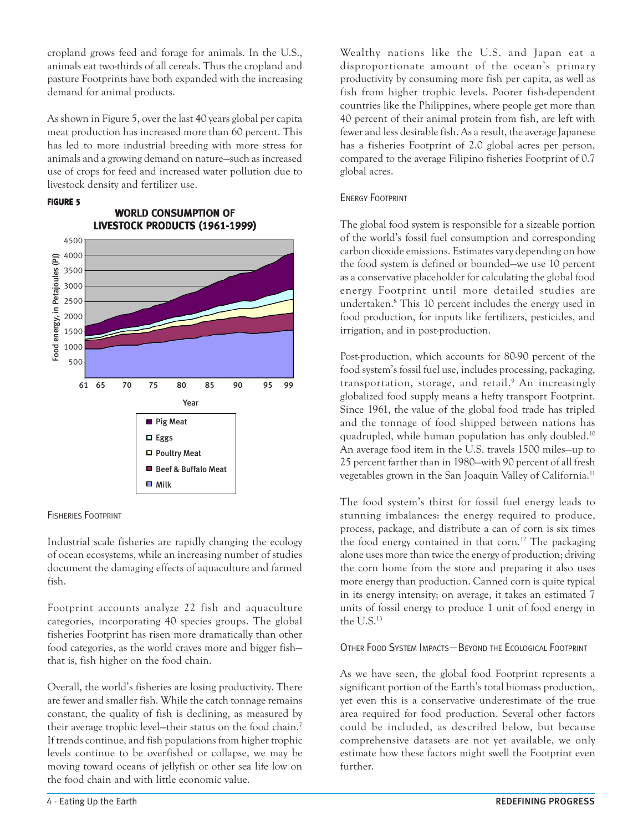cropland grows feed and forage for animals. In the U.S., animals eat two-thirds of all cereals. Thus the cropland and pasture Footprints have both expanded with the increasing demand for animal products.

As shown in Figure 5, over the last 40 years global per capita meat production has increased more than 60 percent. This has led to more industrial breeding with more stress for animals and a growing demand on nature—such as increased use of crops for feed and increased water pollution due to livestock density and fertilizer use.

WORLD CONSUMPTION OF

## FIGURE 5



# FISHERIES FOOTPRINT

Industrial scale fisheries are rapidly changing the ecology of ocean ecosystems, while an increasing number of studies document the damaging effects of aquaculture and farmed fish.

Footprint accounts analyze 22 fish and aquaculture categories, incorporating 40 species groups. The global fisheries Footprint has risen more dramatically than other food categories, as the world craves more and bigger fish that is, fish higher on the food chain.

Overall, the world's fisheries are losing productivity. There are fewer and smaller fish. While the catch tonnage remains constant, the quality of fish is declining, as measured by their average trophic level—their status on the food chain.7 If trends continue, and fish populations from higher trophic levels continue to be overfished or collapse, we may be moving toward oceans of jellyfish or other sea life low on the food chain and with little economic value.

Wealthy nations like the U.S. and Japan eat a disproportionate amount of the ocean's primary productivity by consuming more fish per capita, as well as fish from higher trophic levels. Poorer fish-dependent countries like the Philippines, where people get more than 40 percent of their animal protein from fish, are left with fewer and less desirable fish. As a result, the average Japanese has a fisheries Footprint of 2.0 global acres per person, compared to the average Filipino fisheries Footprint of 0.7 global acres.

## ENERGY FOOTPRINT

The global food system is responsible for a sizeable portion of the world's fossil fuel consumption and corresponding carbon dioxide emissions. Estimates vary depending on how the food system is defined or bounded—we use 10 percent as a conservative placeholder for calculating the global food energy Footprint until more detailed studies are undertaken.**<sup>8</sup>** This 10 percent includes the energy used in food production, for inputs like fertilizers, pesticides, and irrigation, and in post-production.

Post-production, which accounts for 80-90 percent of the food system's fossil fuel use, includes processing, packaging, transportation, storage, and retail.9 An increasingly globalized food supply means a hefty transport Footprint. Since 1961, the value of the global food trade has tripled and the tonnage of food shipped between nations has quadrupled, while human population has only doubled.10 An average food item in the U.S. travels 1500 miles—up to 25 percent farther than in 1980—with 90 percent of all fresh vegetables grown in the San Joaquin Valley of California.<sup>11</sup>

The food system's thirst for fossil fuel energy leads to stunning imbalances: the energy required to produce, process, package, and distribute a can of corn is six times the food energy contained in that corn.<sup>12</sup> The packaging alone uses more than twice the energy of production; driving the corn home from the store and preparing it also uses more energy than production. Canned corn is quite typical in its energy intensity; on average, it takes an estimated 7 units of fossil energy to produce 1 unit of food energy in the U.S.13

## OTHER FOOD SYSTEM IMPACTS—BEYOND THE ECOLOGICAL FOOTPRINT

As we have seen, the global food Footprint represents a significant portion of the Earth's total biomass production, yet even this is a conservative underestimate of the true area required for food production. Several other factors could be included, as described below, but because comprehensive datasets are not yet available, we only estimate how these factors might swell the Footprint even further.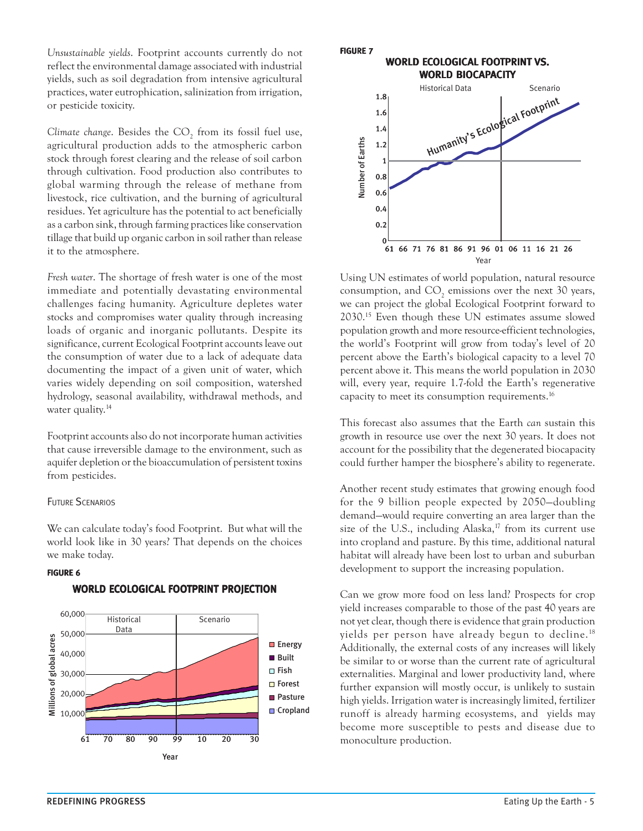*Unsustainable yields*. Footprint accounts currently do not reflect the environmental damage associated with industrial yields, such as soil degradation from intensive agricultural practices, water eutrophication, salinization from irrigation, or pesticide toxicity.

Climate change. Besides the CO<sub>2</sub> from its fossil fuel use, agricultural production adds to the atmospheric carbon stock through forest clearing and the release of soil carbon through cultivation. Food production also contributes to global warming through the release of methane from livestock, rice cultivation, and the burning of agricultural residues. Yet agriculture has the potential to act beneficially as a carbon sink, through farming practices like conservation tillage that build up organic carbon in soil rather than release it to the atmosphere.

*Fresh water*. The shortage of fresh water is one of the most immediate and potentially devastating environmental challenges facing humanity. Agriculture depletes water stocks and compromises water quality through increasing loads of organic and inorganic pollutants. Despite its significance, current Ecological Footprint accounts leave out the consumption of water due to a lack of adequate data documenting the impact of a given unit of water, which varies widely depending on soil composition, watershed hydrology, seasonal availability, withdrawal methods, and water quality.<sup>14</sup>

Footprint accounts also do not incorporate human activities that cause irreversible damage to the environment, such as aquifer depletion or the bioaccumulation of persistent toxins from pesticides.

#### FUTURE SCENARIOS

We can calculate today's food Footprint. But what will the world look like in 30 years? That depends on the choices we make today.

#### FIGURE 6



#### WORLD ECOLOGICAL FOOTPRINT PROJECTION



Using UN estimates of world population, natural resource consumption, and  $CO_2$  emissions over the next 30 years, we can project the global Ecological Footprint forward to 2030.15 Even though these UN estimates assume slowed population growth and more resource-efficient technologies, the world's Footprint will grow from today's level of 20 percent above the Earth's biological capacity to a level 70 percent above it. This means the world population in 2030 will, every year, require 1.7-fold the Earth's regenerative capacity to meet its consumption requirements.16

This forecast also assumes that the Earth *can* sustain this growth in resource use over the next 30 years. It does not account for the possibility that the degenerated biocapacity could further hamper the biosphere's ability to regenerate.

Another recent study estimates that growing enough food for the 9 billion people expected by 2050—doubling demand—would require converting an area larger than the size of the U.S., including Alaska, $17$  from its current use into cropland and pasture. By this time, additional natural habitat will already have been lost to urban and suburban development to support the increasing population.

Can we grow more food on less land? Prospects for crop yield increases comparable to those of the past 40 years are not yet clear, though there is evidence that grain production yields per person have already begun to decline.<sup>18</sup> Additionally, the external costs of any increases will likely be similar to or worse than the current rate of agricultural externalities. Marginal and lower productivity land, where further expansion will mostly occur, is unlikely to sustain high yields. Irrigation water is increasingly limited, fertilizer runoff is already harming ecosystems, and yields may become more susceptible to pests and disease due to monoculture production.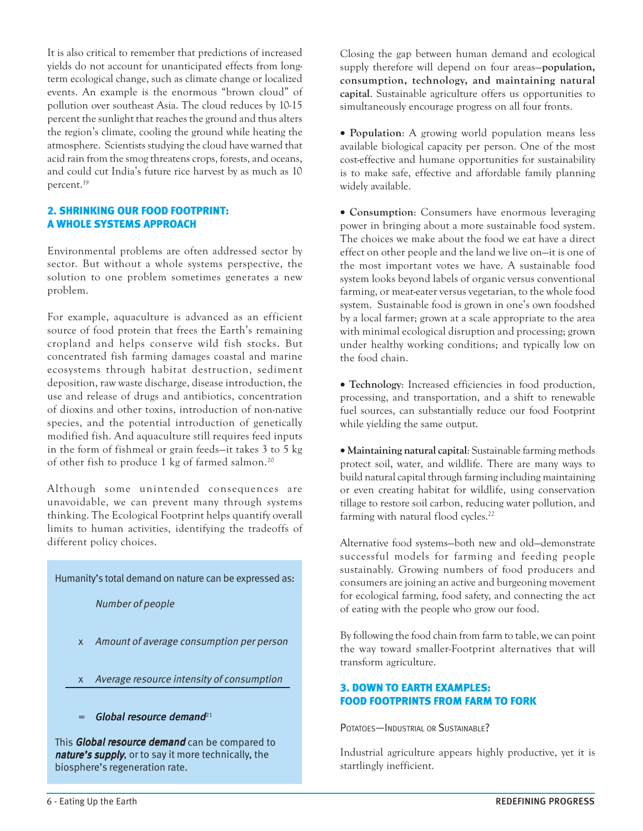It is also critical to remember that predictions of increased yields do not account for unanticipated effects from longterm ecological change, such as climate change or localized events. An example is the enormous "brown cloud" of pollution over southeast Asia. The cloud reduces by 10-15 percent the sunlight that reaches the ground and thus alters the region's climate, cooling the ground while heating the atmosphere. Scientists studying the cloud have warned that acid rain from the smog threatens crops, forests, and oceans, and could cut India's future rice harvest by as much as 10 percent.19

## 2. SHRINKING OUR FOOD FOOTPRINT: A WHOLE SYSTEMS APPROACH

Environmental problems are often addressed sector by sector. But without a whole systems perspective, the solution to one problem sometimes generates a new problem.

For example, aquaculture is advanced as an efficient source of food protein that frees the Earth's remaining cropland and helps conserve wild fish stocks. But concentrated fish farming damages coastal and marine ecosystems through habitat destruction, sediment deposition, raw waste discharge, disease introduction, the use and release of drugs and antibiotics, concentration of dioxins and other toxins, introduction of non-native species, and the potential introduction of genetically modified fish. And aquaculture still requires feed inputs in the form of fishmeal or grain feeds—it takes 3 to 5 kg of other fish to produce 1 kg of farmed salmon.20

Although some unintended consequences are unavoidable, we can prevent many through systems thinking. The Ecological Footprint helps quantify overall limits to human activities, identifying the tradeoffs of different policy choices.

Humanity's total demand on nature can be expressed as:

Number of people

- x Amount of average consumption per person
- x Average resource intensity of consumption
- Global resource demand $21$

This Global resource demand can be compared to nature's supply, or to say it more technically, the biosphere's regeneration rate.

Closing the gap between human demand and ecological supply therefore will depend on four areas—**population, consumption, technology, and maintaining natural capital**. Sustainable agriculture offers us opportunities to simultaneously encourage progress on all four fronts.

• **Population**: A growing world population means less available biological capacity per person. One of the most cost-effective and humane opportunities for sustainability is to make safe, effective and affordable family planning widely available.

• **Consumption**: Consumers have enormous leveraging power in bringing about a more sustainable food system. The choices we make about the food we eat have a direct effect on other people and the land we live on—it is one of the most important votes we have. A sustainable food system looks beyond labels of organic versus conventional farming, or meat-eater versus vegetarian, to the whole food system. Sustainable food is grown in one's own foodshed by a local farmer; grown at a scale appropriate to the area with minimal ecological disruption and processing; grown under healthy working conditions; and typically low on the food chain.

• **Technology**: Increased efficiencies in food production, processing, and transportation, and a shift to renewable fuel sources, can substantially reduce our food Footprint while yielding the same output.

• **Maintaining natural capital**: Sustainable farming methods protect soil, water, and wildlife. There are many ways to build natural capital through farming including maintaining or even creating habitat for wildlife, using conservation tillage to restore soil carbon, reducing water pollution, and farming with natural flood cycles.<sup>22</sup>

Alternative food systems—both new and old—demonstrate successful models for farming and feeding people sustainably. Growing numbers of food producers and consumers are joining an active and burgeoning movement for ecological farming, food safety, and connecting the act of eating with the people who grow our food.

By following the food chain from farm to table, we can point the way toward smaller-Footprint alternatives that will transform agriculture.

## 3. DOWN TO EARTH EXAMPLES: FOOD FOOTPRINTS FROM FARM TO FORK

POTATOES—INDUSTRIAL OR SUSTAINABLE?

Industrial agriculture appears highly productive, yet it is startlingly inefficient.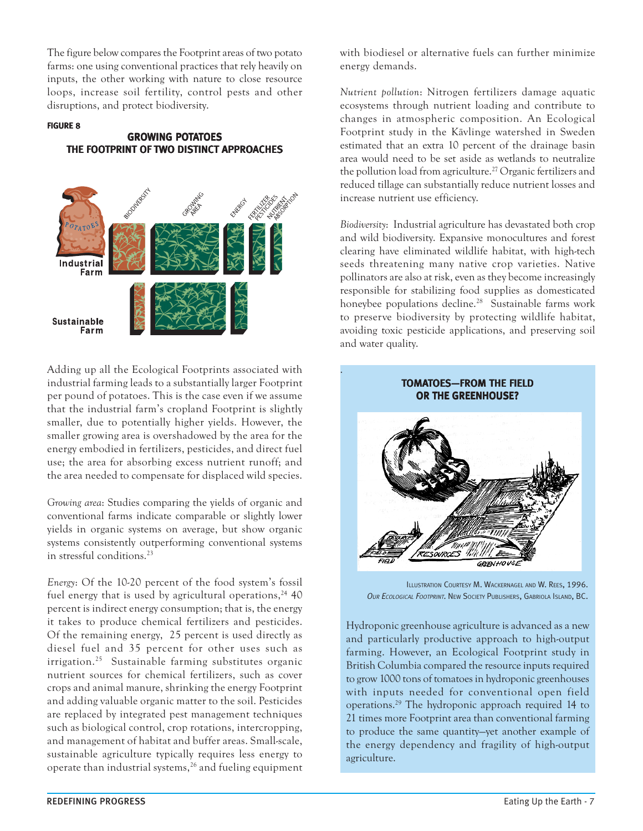The figure below compares the Footprint areas of two potato farms: one using conventional practices that rely heavily on inputs, the other working with nature to close resource loops, increase soil fertility, control pests and other disruptions, and protect biodiversity.

#### FIGURE 8

## GROWING POTATOES THE FOOTPRINT OF TWO DISTINCT APPROACHES



Adding up all the Ecological Footprints associated with industrial farming leads to a substantially larger Footprint per pound of potatoes. This is the case even if we assume that the industrial farm's cropland Footprint is slightly smaller, due to potentially higher yields. However, the smaller growing area is overshadowed by the area for the energy embodied in fertilizers, pesticides, and direct fuel use; the area for absorbing excess nutrient runoff; and the area needed to compensate for displaced wild species.

*Growing area*: Studies comparing the yields of organic and conventional farms indicate comparable or slightly lower yields in organic systems on average, but show organic systems consistently outperforming conventional systems in stressful conditions.23

*Energy*: Of the 10-20 percent of the food system's fossil fuel energy that is used by agricultural operations,  $24$  40 percent is indirect energy consumption; that is, the energy it takes to produce chemical fertilizers and pesticides. Of the remaining energy, 25 percent is used directly as diesel fuel and 35 percent for other uses such as irrigation.25 Sustainable farming substitutes organic nutrient sources for chemical fertilizers, such as cover crops and animal manure, shrinking the energy Footprint and adding valuable organic matter to the soil. Pesticides are replaced by integrated pest management techniques such as biological control, crop rotations, intercropping, and management of habitat and buffer areas. Small-scale, sustainable agriculture typically requires less energy to operate than industrial systems,<sup>26</sup> and fueling equipment with biodiesel or alternative fuels can further minimize energy demands.

*Nutrient pollution*: Nitrogen fertilizers damage aquatic ecosystems through nutrient loading and contribute to changes in atmospheric composition. An Ecological Footprint study in the Kävlinge watershed in Sweden estimated that an extra 10 percent of the drainage basin area would need to be set aside as wetlands to neutralize the pollution load from agriculture.<sup>27</sup> Organic fertilizers and reduced tillage can substantially reduce nutrient losses and increase nutrient use efficiency.

*Biodiversity*: Industrial agriculture has devastated both crop and wild biodiversity. Expansive monocultures and forest clearing have eliminated wildlife habitat, with high-tech seeds threatening many native crop varieties. Native pollinators are also at risk, even as they become increasingly responsible for stabilizing food supplies as domesticated honeybee populations decline.<sup>28</sup> Sustainable farms work to preserve biodiversity by protecting wildlife habitat, avoiding toxic pesticide applications, and preserving soil and water quality.



ILLUSTRATION COURTESY M. WACKERNAGEL AND W. REES, 1996. OUR ECOLOGICAL FOOTPRINT. NEW SOCIETY PUBLISHERS, GABRIOLA ISLAND, BC.

Hydroponic greenhouse agriculture is advanced as a new and particularly productive approach to high-output farming. However, an Ecological Footprint study in British Columbia compared the resource inputs required to grow 1000 tons of tomatoes in hydroponic greenhouses with inputs needed for conventional open field operations.29 The hydroponic approach required 14 to 21 times more Footprint area than conventional farming to produce the same quantity—yet another example of the energy dependency and fragility of high-output agriculture.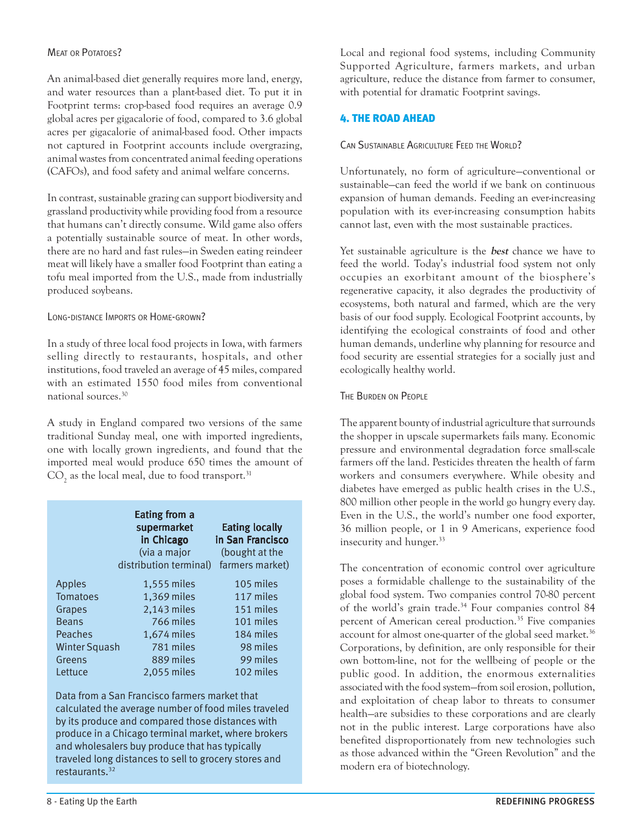## MEAT OR POTATOES?

An animal-based diet generally requires more land, energy, and water resources than a plant-based diet. To put it in Footprint terms: crop-based food requires an average 0.9 global acres per gigacalorie of food, compared to 3.6 global acres per gigacalorie of animal-based food. Other impacts not captured in Footprint accounts include overgrazing, animal wastes from concentrated animal feeding operations (CAFOs), and food safety and animal welfare concerns.

In contrast, sustainable grazing can support biodiversity and grassland productivity while providing food from a resource that humans can't directly consume. Wild game also offers a potentially sustainable source of meat. In other words, there are no hard and fast rules—in Sweden eating reindeer meat will likely have a smaller food Footprint than eating a tofu meal imported from the U.S., made from industrially produced soybeans.

## LONG-DISTANCE IMPORTS OR HOME-GROWN?

In a study of three local food projects in Iowa, with farmers selling directly to restaurants, hospitals, and other institutions, food traveled an average of 45 miles, compared with an estimated 1550 food miles from conventional national sources.30

A study in England compared two versions of the same traditional Sunday meal, one with imported ingredients, one with locally grown ingredients, and found that the imported meal would produce 650 times the amount of  $\mathrm{CO}_2$  as the local meal, due to food transport.<sup>31</sup>

|                      | <b>Eating from a</b><br>supermarket<br>in Chicago<br>(via a major<br>distribution terminal) | <b>Eating locally</b><br>in San Francisco<br>(bought at the<br>farmers market) |
|----------------------|---------------------------------------------------------------------------------------------|--------------------------------------------------------------------------------|
| Apples               | 1,555 miles                                                                                 | 105 miles                                                                      |
| Tomatoes             | 1,369 miles                                                                                 | 117 miles                                                                      |
| Grapes               | 2,143 miles                                                                                 | 151 miles                                                                      |
| <b>Beans</b>         | 766 miles                                                                                   | 101 miles                                                                      |
| Peaches              | 1,674 miles                                                                                 | 184 miles                                                                      |
| <b>Winter Squash</b> | 781 miles                                                                                   | 98 miles                                                                       |
| Greens               | 889 miles                                                                                   | 99 miles                                                                       |
| Lettuce              | 2.055 miles                                                                                 | 102 miles                                                                      |

Data from a San Francisco farmers market that calculated the average number of food miles traveled by its produce and compared those distances with produce in a Chicago terminal market, where brokers and wholesalers buy produce that has typically traveled long distances to sell to grocery stores and restaurants.<sup>32</sup>

Local and regional food systems, including Community Supported Agriculture, farmers markets, and urban agriculture, reduce the distance from farmer to consumer, with potential for dramatic Footprint savings.

## 4. THE ROAD AHEAD

CAN SUSTAINABLE AGRICULTURE FEED THE WORLD?

Unfortunately, no form of agriculture—conventional or sustainable—can feed the world if we bank on continuous expansion of human demands. Feeding an ever-increasing population with its ever-increasing consumption habits cannot last, even with the most sustainable practices.

Yet sustainable agriculture is the **best** chance we have to feed the world. Today's industrial food system not only occupies an exorbitant amount of the biosphere's regenerative capacity, it also degrades the productivity of ecosystems, both natural and farmed, which are the very basis of our food supply. Ecological Footprint accounts, by identifying the ecological constraints of food and other human demands, underline why planning for resource and food security are essential strategies for a socially just and ecologically healthy world.

## THE BURDEN ON PEOPLE

The apparent bounty of industrial agriculture that surrounds the shopper in upscale supermarkets fails many. Economic pressure and environmental degradation force small-scale farmers off the land. Pesticides threaten the health of farm workers and consumers everywhere. While obesity and diabetes have emerged as public health crises in the U.S., 800 million other people in the world go hungry every day. Even in the U.S., the world's number one food exporter, 36 million people, or 1 in 9 Americans, experience food insecurity and hunger.<sup>33</sup>

The concentration of economic control over agriculture poses a formidable challenge to the sustainability of the global food system. Two companies control 70-80 percent of the world's grain trade.<sup>34</sup> Four companies control 84 percent of American cereal production.<sup>35</sup> Five companies account for almost one-quarter of the global seed market.<sup>36</sup> Corporations, by definition, are only responsible for their own bottom-line, not for the wellbeing of people or the public good. In addition, the enormous externalities associated with the food system—from soil erosion, pollution, and exploitation of cheap labor to threats to consumer health—are subsidies to these corporations and are clearly not in the public interest. Large corporations have also benefited disproportionately from new technologies such as those advanced within the "Green Revolution" and the modern era of biotechnology.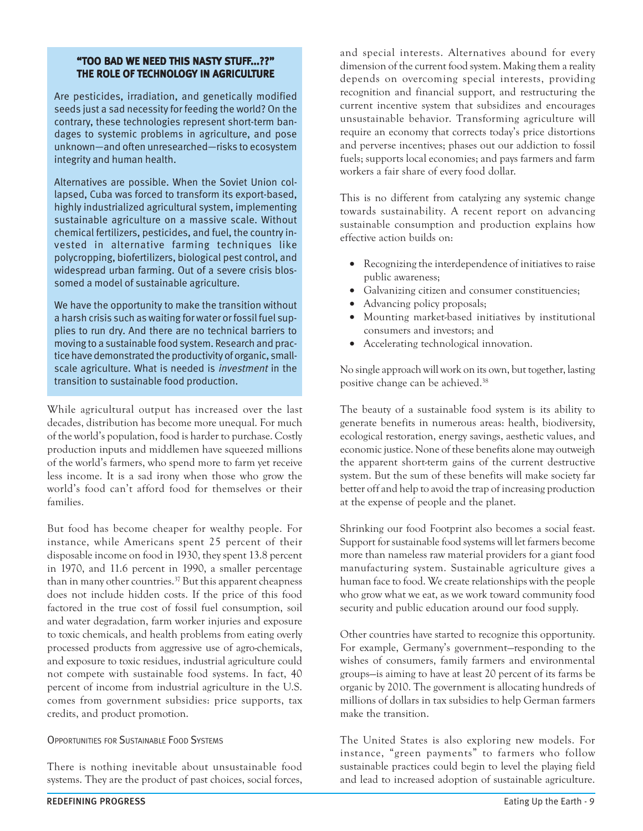## "TOO BAD WE NEED THIS NASTY STUFF...??" THE ROLE OF TECHNOLOGY IN AGRICULTURE

Are pesticides, irradiation, and genetically modified seeds just a sad necessity for feeding the world? On the contrary, these technologies represent short-term bandages to systemic problems in agriculture, and pose unknown—and often unresearched—risks to ecosystem integrity and human health.

Alternatives are possible. When the Soviet Union collapsed, Cuba was forced to transform its export-based, highly industrialized agricultural system, implementing sustainable agriculture on a massive scale. Without chemical fertilizers, pesticides, and fuel, the country invested in alternative farming techniques like polycropping, biofertilizers, biological pest control, and widespread urban farming. Out of a severe crisis blossomed a model of sustainable agriculture.

We have the opportunity to make the transition without a harsh crisis such as waiting for water or fossil fuel supplies to run dry. And there are no technical barriers to moving to a sustainable food system. Research and practice have demonstrated the productivity of organic, smallscale agriculture. What is needed is investment in the transition to sustainable food production.

While agricultural output has increased over the last decades, distribution has become more unequal. For much of the world's population, food is harder to purchase. Costly production inputs and middlemen have squeezed millions of the world's farmers, who spend more to farm yet receive less income. It is a sad irony when those who grow the world's food can't afford food for themselves or their families.

But food has become cheaper for wealthy people. For instance, while Americans spent 25 percent of their disposable income on food in 1930, they spent 13.8 percent in 1970, and 11.6 percent in 1990, a smaller percentage than in many other countries. $37$  But this apparent cheapness does not include hidden costs. If the price of this food factored in the true cost of fossil fuel consumption, soil and water degradation, farm worker injuries and exposure to toxic chemicals, and health problems from eating overly processed products from aggressive use of agro-chemicals, and exposure to toxic residues, industrial agriculture could not compete with sustainable food systems. In fact, 40 percent of income from industrial agriculture in the U.S. comes from government subsidies: price supports, tax credits, and product promotion.

## OPPORTUNITIES FOR SUSTAINABLE FOOD SYSTEMS

There is nothing inevitable about unsustainable food systems. They are the product of past choices, social forces,

and special interests. Alternatives abound for every dimension of the current food system. Making them a reality depends on overcoming special interests, providing recognition and financial support, and restructuring the current incentive system that subsidizes and encourages unsustainable behavior. Transforming agriculture will require an economy that corrects today's price distortions and perverse incentives; phases out our addiction to fossil fuels; supports local economies; and pays farmers and farm workers a fair share of every food dollar.

This is no different from catalyzing any systemic change towards sustainability. A recent report on advancing sustainable consumption and production explains how effective action builds on:

- Recognizing the interdependence of initiatives to raise public awareness;
- Galvanizing citizen and consumer constituencies;
- Advancing policy proposals;
- Mounting market-based initiatives by institutional consumers and investors; and
- Accelerating technological innovation.

No single approach will work on its own, but together, lasting positive change can be achieved.38

The beauty of a sustainable food system is its ability to generate benefits in numerous areas: health, biodiversity, ecological restoration, energy savings, aesthetic values, and economic justice. None of these benefits alone may outweigh the apparent short-term gains of the current destructive system. But the sum of these benefits will make society far better off and help to avoid the trap of increasing production at the expense of people and the planet.

Shrinking our food Footprint also becomes a social feast. Support for sustainable food systems will let farmers become more than nameless raw material providers for a giant food manufacturing system. Sustainable agriculture gives a human face to food. We create relationships with the people who grow what we eat, as we work toward community food security and public education around our food supply.

Other countries have started to recognize this opportunity. For example, Germany's government—responding to the wishes of consumers, family farmers and environmental groups—is aiming to have at least 20 percent of its farms be organic by 2010. The government is allocating hundreds of millions of dollars in tax subsidies to help German farmers make the transition.

The United States is also exploring new models. For instance, "green payments" to farmers who follow sustainable practices could begin to level the playing field and lead to increased adoption of sustainable agriculture.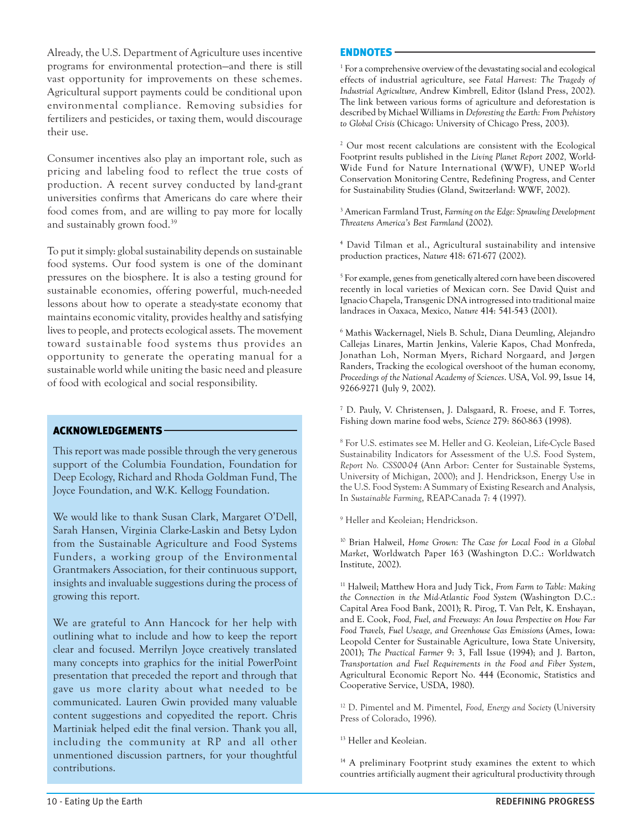Already, the U.S. Department of Agriculture uses incentive programs for environmental protection—and there is still vast opportunity for improvements on these schemes. Agricultural support payments could be conditional upon environmental compliance. Removing subsidies for fertilizers and pesticides, or taxing them, would discourage their use.

Consumer incentives also play an important role, such as pricing and labeling food to reflect the true costs of production. A recent survey conducted by land-grant universities confirms that Americans do care where their food comes from, and are willing to pay more for locally and sustainably grown food.39

To put it simply: global sustainability depends on sustainable food systems. Our food system is one of the dominant pressures on the biosphere. It is also a testing ground for sustainable economies, offering powerful, much-needed lessons about how to operate a steady-state economy that maintains economic vitality, provides healthy and satisfying lives to people, and protects ecological assets. The movement toward sustainable food systems thus provides an opportunity to generate the operating manual for a sustainable world while uniting the basic need and pleasure of food with ecological and social responsibility.

## ACKNOWLEDGEMENTS

This report was made possible through the very generous support of the Columbia Foundation, Foundation for Deep Ecology, Richard and Rhoda Goldman Fund, The Joyce Foundation, and W.K. Kellogg Foundation.

We would like to thank Susan Clark, Margaret O'Dell, Sarah Hansen, Virginia Clarke-Laskin and Betsy Lydon from the Sustainable Agriculture and Food Systems Funders, a working group of the Environmental Grantmakers Association, for their continuous support, insights and invaluable suggestions during the process of growing this report.

We are grateful to Ann Hancock for her help with outlining what to include and how to keep the report clear and focused. Merrilyn Joyce creatively translated many concepts into graphics for the initial PowerPoint presentation that preceded the report and through that gave us more clarity about what needed to be communicated. Lauren Gwin provided many valuable content suggestions and copyedited the report. Chris Martiniak helped edit the final version. Thank you all, including the community at RP and all other unmentioned discussion partners, for your thoughtful contributions.

## ENDNOTES

1 For a comprehensive overview of the devastating social and ecological effects of industrial agriculture, see *Fatal Harvest: The Tragedy of Industrial Agriculture,* Andrew Kimbrell, Editor (Island Press, 2002). The link between various forms of agriculture and deforestation is described by Michael Williams in *Deforesting the Earth: From Prehistory to Global Crisis* (Chicago: University of Chicago Press, 2003).

2 Our most recent calculations are consistent with the Ecological Footprint results published in the *Living Planet Report 2002,* World-Wide Fund for Nature International (WWF), UNEP World Conservation Monitoring Centre, Redefining Progress, and Center for Sustainability Studies (Gland, Switzerland: WWF, 2002).

3 American Farmland Trust, *Farming on the Edge: Sprawling Development Threatens America's Best Farmland* (2002).

4 David Tilman et al., Agricultural sustainability and intensive production practices, *Nature* 418: 671-677 (2002).

5 For example, genes from genetically altered corn have been discovered recently in local varieties of Mexican corn. See David Quist and Ignacio Chapela, Transgenic DNA introgressed into traditional maize landraces in Oaxaca, Mexico, *Nature* 414: 541-543 (2001).

6 Mathis Wackernagel, Niels B. Schulz, Diana Deumling, Alejandro Callejas Linares, Martin Jenkins, Valerie Kapos, Chad Monfreda, Jonathan Loh, Norman Myers, Richard Norgaard, and Jørgen Randers, Tracking the ecological overshoot of the human economy, *Proceedings of the National Academy of Sciences*. USA, Vol. 99, Issue 14, 9266-9271 (July 9, 2002).

7 D. Pauly, V. Christensen, J. Dalsgaard, R. Froese, and F. Torres, Fishing down marine food webs, *Science* 279: 860-863 (1998).

8 For U.S. estimates see M. Heller and G. Keoleian, Life-Cycle Based Sustainability Indicators for Assessment of the U.S. Food System, *Report No. CSS00-04* (Ann Arbor: Center for Sustainable Systems, University of Michigan, 2000); and J. Hendrickson, Energy Use in the U.S. Food System: A Summary of Existing Research and Analysis, In *Sustainable Farming*, REAP-Canada 7: 4 (1997).

9 Heller and Keoleian; Hendrickson.

10 Brian Halweil, *Home Grown: The Case for Local Food in a Global Market*, Worldwatch Paper 163 (Washington D.C.: Worldwatch Institute, 2002).

11 Halweil; Matthew Hora and Judy Tick, *From Farm to Table: Making the Connection in the Mid-Atlantic Food System* (Washington D.C.: Capital Area Food Bank, 2001); R. Pirog, T. Van Pelt, K. Enshayan, and E. Cook, *Food, Fuel, and Freeways: An Iowa Perspective on How Far Food Travels, Fuel Useage, and Greenhouse Gas Emissions* (Ames, Iowa: Leopold Center for Sustainable Agriculture, Iowa State University, 2001); *The Practical Farmer* 9: 3, Fall Issue (1994); and J. Barton, *Transportation and Fuel Requirements in the Food and Fiber System*, Agricultural Economic Report No. 444 (Economic, Statistics and Cooperative Service, USDA, 1980).

12 D. Pimentel and M. Pimentel, *Food, Energy and Society* (University Press of Colorado, 1996).

13 Heller and Keoleian.

<sup>14</sup> A preliminary Footprint study examines the extent to which countries artificially augment their agricultural productivity through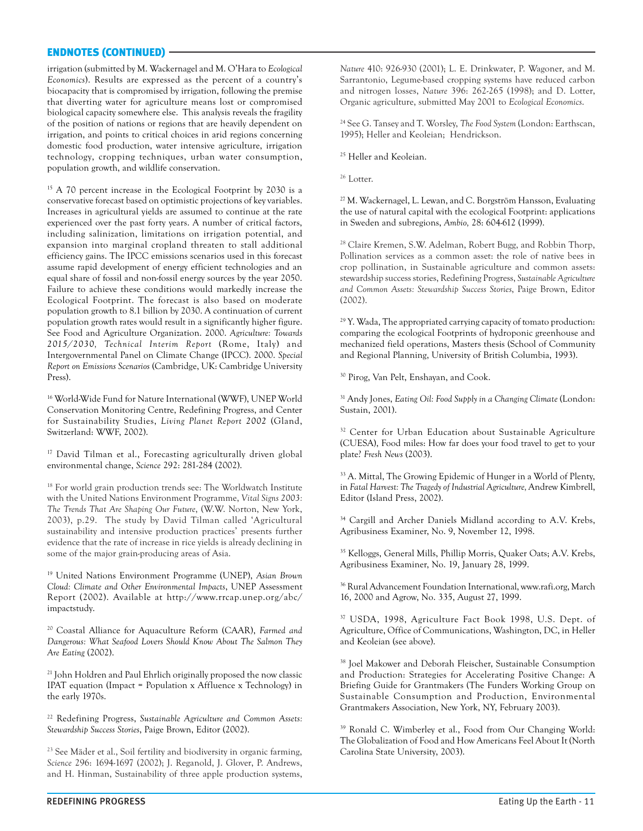#### ENDNOTES (CONTINUED)

irrigation (submitted by M. Wackernagel and M. O'Hara to *Ecological Economics*). Results are expressed as the percent of a country's biocapacity that is compromised by irrigation, following the premise that diverting water for agriculture means lost or compromised biological capacity somewhere else. This analysis reveals the fragility of the position of nations or regions that are heavily dependent on irrigation, and points to critical choices in arid regions concerning domestic food production, water intensive agriculture, irrigation technology, cropping techniques, urban water consumption, population growth, and wildlife conservation.

<sup>15</sup> A 70 percent increase in the Ecological Footprint by 2030 is a conservative forecast based on optimistic projections of key variables. Increases in agricultural yields are assumed to continue at the rate experienced over the past forty years. A number of critical factors, including salinization, limitations on irrigation potential, and expansion into marginal cropland threaten to stall additional efficiency gains. The IPCC emissions scenarios used in this forecast assume rapid development of energy efficient technologies and an equal share of fossil and non-fossil energy sources by the year 2050. Failure to achieve these conditions would markedly increase the Ecological Footprint. The forecast is also based on moderate population growth to 8.1 billion by 2030. A continuation of current population growth rates would result in a significantly higher figure. See Food and Agriculture Organization. 2000. *Agriculture: Towards 2015/2030, Technical Interim Report* (Rome, Italy) and Intergovernmental Panel on Climate Change (IPCC). 2000. *Special Report on Emissions Scenarios* (Cambridge, UK: Cambridge University Press).

16 World-Wide Fund for Nature International (WWF), UNEP World Conservation Monitoring Centre, Redefining Progress, and Center for Sustainability Studies, *Living Planet Report 2002* (Gland, Switzerland: WWF, 2002).

17 David Tilman et al., Forecasting agriculturally driven global environmental change, *Science* 292: 281-284 (2002).

<sup>18</sup> For world grain production trends see: The Worldwatch Institute with the United Nations Environment Programme, *Vital Signs 2003: The Trends That Are Shaping Our Future*, (W.W. Norton, New York, 2003), p.29. The study by David Tilman called 'Agricultural sustainability and intensive production practices' presents further evidence that the rate of increase in rice yields is already declining in some of the major grain-producing areas of Asia.

19 United Nations Environment Programme (UNEP), *Asian Brown Cloud: Climate and Other Environmental Impacts*, UNEP Assessment Report (2002). Available at http://www.rrcap.unep.org/abc/ impactstudy.

20 Coastal Alliance for Aquaculture Reform (CAAR), *Farmed and Dangerous: What Seafood Lovers Should Know About The Salmon They Are Eating* (2002).

<sup>21</sup> John Holdren and Paul Ehrlich originally proposed the now classic IPAT equation (Impact = Population x Affluence x Technology) in the early 1970s.

22 Redefining Progress, *Sustainable Agriculture and Common Assets: Stewardship Success Stories*, Paige Brown, Editor (2002).

<sup>23</sup> See Mäder et al., Soil fertility and biodiversity in organic farming, *Science* 296: 1694-1697 (2002); J. Reganold, J. Glover, P. Andrews, and H. Hinman, Sustainability of three apple production systems, *Nature* 410: 926-930 (2001); L. E. Drinkwater, P. Wagoner, and M. Sarrantonio, Legume-based cropping systems have reduced carbon and nitrogen losses, *Nature* 396: 262-265 (1998); and D. Lotter, Organic agriculture, submitted May 2001 to *Ecological Economics*.

24 See G. Tansey and T. Worsley, *The Food System* (London: Earthscan, 1995); Heller and Keoleian; Hendrickson.

<sup>25</sup> Heller and Keoleian.

<sup>26</sup> Lotter.

<sup>27</sup> M. Wackernagel, L. Lewan, and C. Borgström Hansson, Evaluating the use of natural capital with the ecological Footprint: applications in Sweden and subregions, *Ambio,* 28: 604-612 (1999).

<sup>28</sup> Claire Kremen, S.W. Adelman, Robert Bugg, and Robbin Thorp, Pollination services as a common asset: the role of native bees in crop pollination, in Sustainable agriculture and common assets: stewardship success stories, Redefining Progress, *Sustainable Agriculture and Common Assets: Stewardship Success Stories*, Paige Brown, Editor (2002).

 $29$  Y. Wada, The appropriated carrying capacity of tomato production: comparing the ecological Footprints of hydroponic greenhouse and mechanized field operations, Masters thesis (School of Community and Regional Planning, University of British Columbia, 1993).

30 Pirog, Van Pelt, Enshayan, and Cook.

31 Andy Jones, *Eating Oil: Food Supply in a Changing Climate* (London: Sustain, 2001).

<sup>32</sup> Center for Urban Education about Sustainable Agriculture (CUESA), Food miles: How far does your food travel to get to your plate? *Fresh News* (2003).

33 A. Mittal, The Growing Epidemic of Hunger in a World of Plenty, in *Fatal Harvest: The Tragedy of Industrial Agriculture,* Andrew Kimbrell, Editor (Island Press, 2002).

<sup>34</sup> Cargill and Archer Daniels Midland according to A.V. Krebs, Agribusiness Examiner, No. 9, November 12, 1998.

35 Kelloggs, General Mills, Phillip Morris, Quaker Oats; A.V. Krebs, Agribusiness Examiner, No. 19, January 28, 1999.

36 Rural Advancement Foundation International, www.rafi.org, March 16, 2000 and Agrow, No. 335, August 27, 1999.

37 USDA, 1998, Agriculture Fact Book 1998, U.S. Dept. of Agriculture, Office of Communications, Washington, DC, in Heller and Keoleian (see above).

38 Joel Makower and Deborah Fleischer, Sustainable Consumption and Production: Strategies for Accelerating Positive Change: A Briefing Guide for Grantmakers (The Funders Working Group on Sustainable Consumption and Production, Environmental Grantmakers Association, New York, NY, February 2003).

39 Ronald C. Wimberley et al., Food from Our Changing World: The Globalization of Food and How Americans Feel About It (North Carolina State University, 2003).